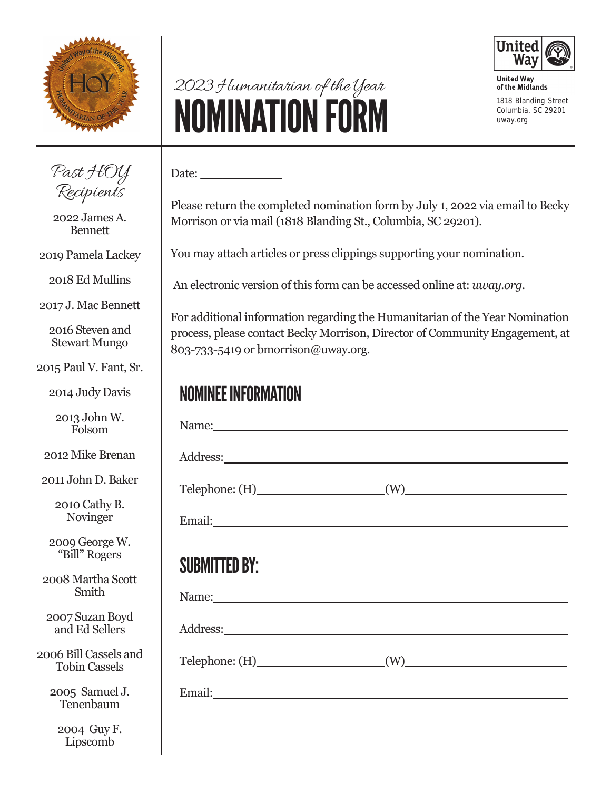

# 2023 Humanitarian of the Year **NOMINATION FORM 1818 Blanding Street**



**United Way** of the Midlands **Columbia, SC 29201 uway.org**

Past HOY Recipients

2022 James A. Bennett

2019 Pamela Lackey

2018 Ed Mullins

2017 J. Mac Bennett

2016 Steven and Stewart Mungo

2015 Paul V. Fant, Sr.

2014 Judy Davis

2013 John W. Folsom

2012 Mike Brenan

2011 John D. Baker

2010 Cathy B. Novinger

2009 George W. "Bill" Rogers

2008 Martha Scott Smith

2007 Suzan Boyd and Ed Sellers

2006 Bill Cassels and Tobin Cassels

> 2005 Samuel J. Tenenbaum

2004 Guy F. Lipscomb

### Date:  $\_\_$ Please return the completed nomination form by July 1, 2022 via email to Becky

Morrison or via mail (1818 Blanding St., Columbia, SC 29201).

You may attach articles or press clippings supporting your nomination.

An electronic version of this form can be accessed online at: *uway.org*.

For additional information regarding the Humanitarian of the Year Nomination process, please contact Becky Morrison, Director of Community Engagement, at 803-733-5419 or bmorrison@uway.org.

#### NOMINEE INFORMATION

| Name:                    |                                                                                                                                                                                                                                                       |
|--------------------------|-------------------------------------------------------------------------------------------------------------------------------------------------------------------------------------------------------------------------------------------------------|
|                          |                                                                                                                                                                                                                                                       |
|                          | $(W)$ and $(W)$ and $(W)$ and $(W)$ are $(W)$ and $(W)$ are $(W)$ and $(W)$ are $(W)$ and $(W)$ are $(W)$ and $(W)$ are $(W)$ and $(W)$ are $(W)$ and $(W)$ are $(W)$ and $(W)$ are $(W)$ and $(W)$ are $(W)$ and $(W)$ are $(W)$ and $(W)$ are $(W)$ |
|                          |                                                                                                                                                                                                                                                       |
|                          |                                                                                                                                                                                                                                                       |
| <b>SUBMITTED BY:</b>     |                                                                                                                                                                                                                                                       |
|                          |                                                                                                                                                                                                                                                       |
|                          |                                                                                                                                                                                                                                                       |
| $Telephone: (H)$ (W) (W) |                                                                                                                                                                                                                                                       |
|                          |                                                                                                                                                                                                                                                       |
|                          |                                                                                                                                                                                                                                                       |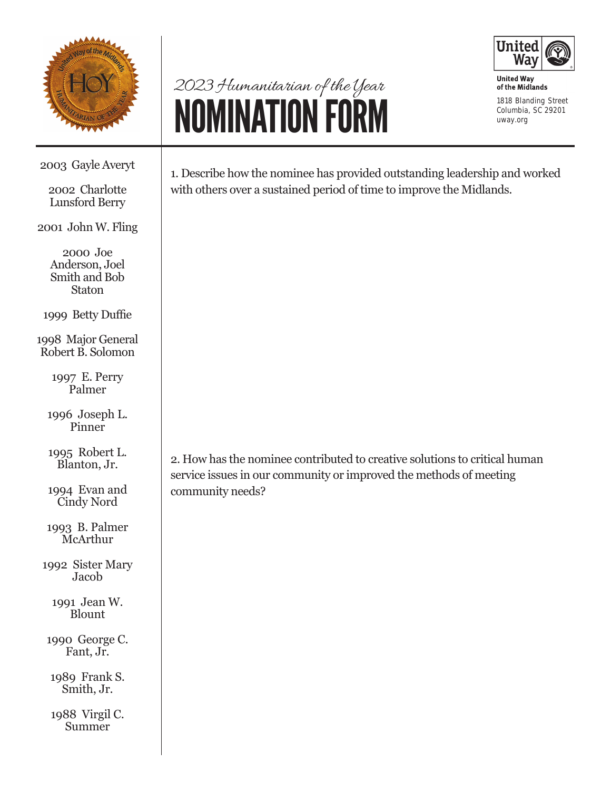

## 2023 Humanitarian of the Year NOMINATION FORM



**United Way** of the Midlands **1818 Blanding Street Columbia, SC 29201 uway.org**

2003 Gayle Averyt

2002 Charlotte Lunsford Berry

2001 John W. Fling

2000 Joe Anderson, Joel Smith and Bob **Staton** 

1999 Betty Duffie

1998 Major General Robert B. Solomon

> 1997 E. Perry Palmer

1996 Joseph L. Pinner

1995 Robert L. Blanton, Jr.

1994 Evan and Cindy Nord

1993 B. Palmer **McArthur** 

1992 Sister Mary Jacob

> 1991 Jean W. Blount

1990 George C. Fant, Jr.

1989 Frank S. Smith, Jr.

1988 Virgil C. Summer

1. Describe how the nominee has provided outstanding leadership and worked with others over a sustained period of time to improve the Midlands.

2. How has the nominee contributed to creative solutions to critical human service issues in our community or improved the methods of meeting community needs?